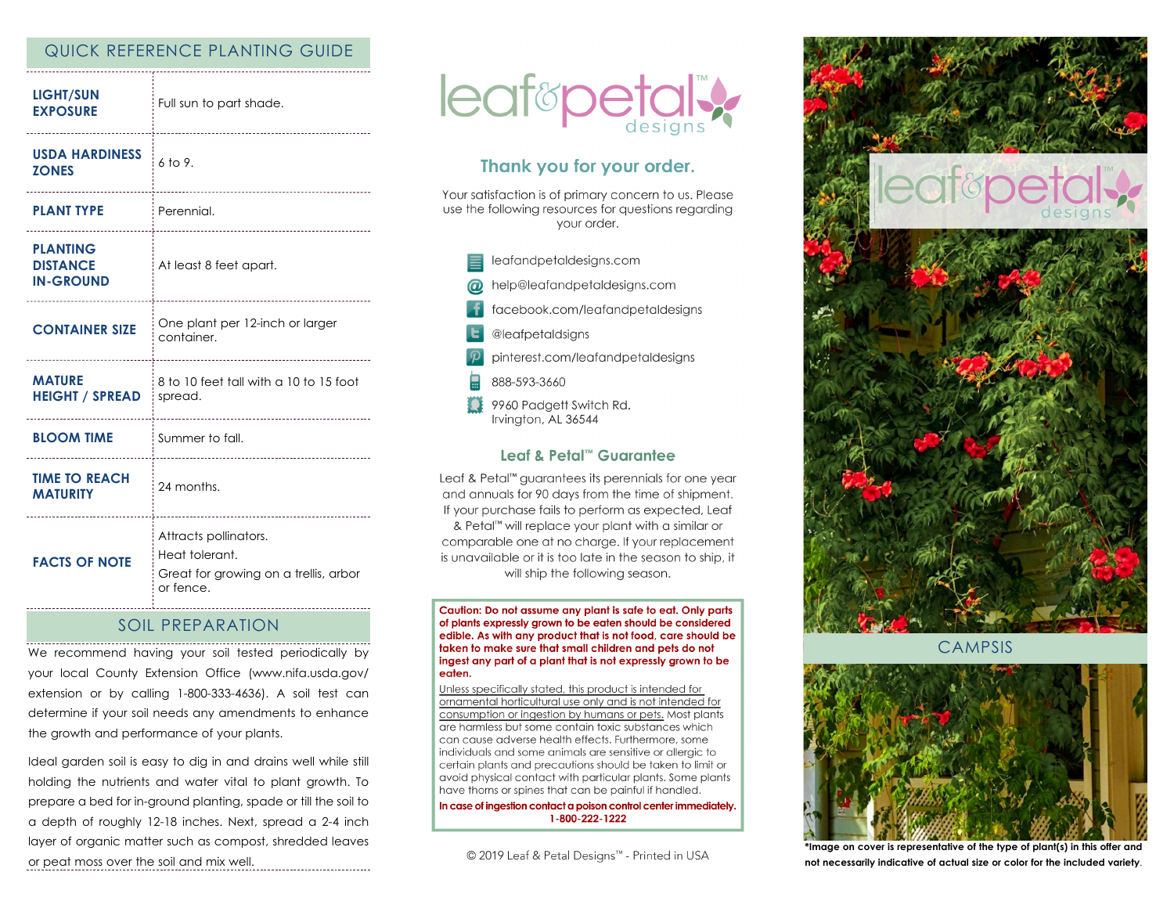# QUICK REFERENCE PLANTING GUIDE

| <b>LIGHT/SUN</b><br><b>EXPOSURE</b>                    | Full sun to part shade.                                                                       |
|--------------------------------------------------------|-----------------------------------------------------------------------------------------------|
| <b>USDA HARDINESS</b><br><b>ZONES</b><br>              | $6$ to 9.                                                                                     |
| <b>PLANT TYPE</b>                                      | Perennial.                                                                                    |
| <b>PLANTING</b><br><b>DISTANCE</b><br><b>IN-GROUND</b> | At least 8 feet apart.                                                                        |
| <b>CONTAINER SIZE</b>                                  | One plant per 12-inch or larger<br>container.                                                 |
| <b>MATURE</b><br><b>HEIGHT / SPREAD</b>                | 8 to 10 feet tall with a 10 to 15 foot<br>spread.                                             |
| <b>BLOOM TIME</b>                                      | Summer to fall.                                                                               |
| <b>TIME TO REACH</b><br><b>MATURITY</b>                | 24 months.                                                                                    |
| <b>FACTS OF NOTE</b>                                   | Attracts pollinators.<br>Heat tolerant.<br>Great for growing on a trellis, arbor<br>or fence. |

### SOIL PREPARATION

We recommend having your soil tested periodically by your local County Extension Office (www.nifa.usda.gov/ extension or by calling 1-800-333-4636). A soil test can determine if your soil needs any amendments to enhance the growth and performance of your plants.

Ideal garden soil is easy to dig in and drains well while still holding the nutrients and water vital to plant growth. To prepare a bed for in-ground planting, spade or till the soil to a depth of roughly 12-18 inches. Next, spread a 2-4 inch layer of organic matter such as compost, shredded leaves or peat moss over the soil and mix well.



# Thank you for your order.

Your satisfaction is of primary concern to us. Please use the following resources for questions regarding vour order.



#### Leaf & Petal™ Guarantee

Leaf & Petal™ guarantees its perennials for one year and annuals for 90 days from the time of shipment. If your purchase fails to perform as expected, Leaf & Petal™ will replace your plant with a similar or comparable one at no charge. If your replacement is unavailable or it is too late in the season to ship, it will ship the following season.

Caution: Do not assume any plant is safe to eat. Only parts of plants expressly grown to be eaten should be considered edible. As with any product that is not food, care should be taken to make sure that small children and pets do not ingest any part of a plant that is not expressly grown to be eaten.

Unless specifically stated, this product is intended for ornamental horticultural use only and is not intended for consumption or ingestion by humans or pets. Most plants are harmless but some contain toxic substances which can cause adverse health effects. Furthermore, some individuals and some animals are sensitive or allergic to certain plants and precautions should be taken to limit or avoid physical contact with particular plants. Some plants have thorns or spines that can be painful if handled.

In case of ingestion contact a poison control center immediately. 1-800-222-1222

© 2019 Leaf & Petal Designs™ - Printed in USA



**CAMPSIS** 



**\*Image on cover is representative of the type of plant(s) in this offer and not necessarily indicative of actual size or color for the included variety**.